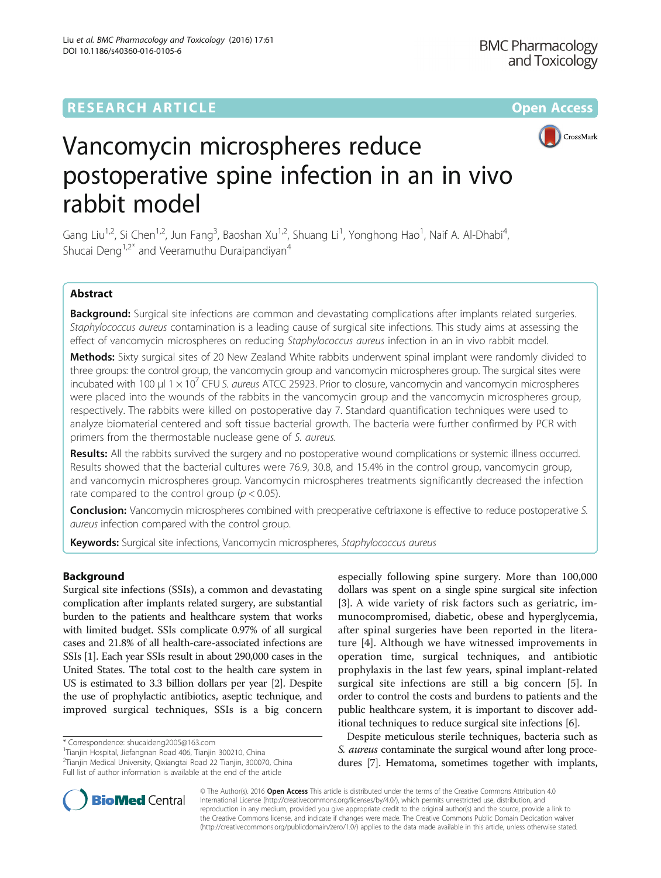

# Vancomycin microspheres reduce postoperative spine infection in an in vivo rabbit model

Gang Liu<sup>1,2</sup>, Si Chen<sup>1,2</sup>, Jun Fang<sup>3</sup>, Baoshan Xu<sup>1,2</sup>, Shuang Li<sup>1</sup>, Yonghong Hao<sup>1</sup>, Naif A. Al-Dhabi<sup>4</sup> , Shucai Deng<sup>1,2\*</sup> and Veeramuthu Duraipandiyan<sup>4</sup>

# Abstract

Background: Surgical site infections are common and devastating complications after implants related surgeries. Staphylococcus aureus contamination is a leading cause of surgical site infections. This study aims at assessing the effect of vancomycin microspheres on reducing Staphylococcus aureus infection in an in vivo rabbit model.

Methods: Sixty surgical sites of 20 New Zealand White rabbits underwent spinal implant were randomly divided to three groups: the control group, the vancomycin group and vancomycin microspheres group. The surgical sites were incubated with 100 μl 1  $\times$  10<sup>7</sup> CFU S. aureus ATCC 25923. Prior to closure, vancomycin and vancomycin microspheres were placed into the wounds of the rabbits in the vancomycin group and the vancomycin microspheres group, respectively. The rabbits were killed on postoperative day 7. Standard quantification techniques were used to analyze biomaterial centered and soft tissue bacterial growth. The bacteria were further confirmed by PCR with primers from the thermostable nuclease gene of S. aureus.

Results: All the rabbits survived the surgery and no postoperative wound complications or systemic illness occurred. Results showed that the bacterial cultures were 76.9, 30.8, and 15.4% in the control group, vancomycin group, and vancomycin microspheres group. Vancomycin microspheres treatments significantly decreased the infection rate compared to the control group ( $p < 0.05$ ).

**Conclusion:** Vancomycin microspheres combined with preoperative ceftriaxone is effective to reduce postoperative S. aureus infection compared with the control group.

Keywords: Surgical site infections, Vancomycin microspheres, Staphylococcus aureus

## Background

Surgical site infections (SSIs), a common and devastating complication after implants related surgery, are substantial burden to the patients and healthcare system that works with limited budget. SSIs complicate 0.97% of all surgical cases and 21.8% of all health-care-associated infections are SSIs [\[1\]](#page-5-0). Each year SSIs result in about 290,000 cases in the United States. The total cost to the health care system in US is estimated to 3.3 billion dollars per year [\[2](#page-5-0)]. Despite the use of prophylactic antibiotics, aseptic technique, and improved surgical techniques, SSIs is a big concern

especially following spine surgery. More than 100,000 dollars was spent on a single spine surgical site infection [[3](#page-5-0)]. A wide variety of risk factors such as geriatric, immunocompromised, diabetic, obese and hyperglycemia, after spinal surgeries have been reported in the literature [[4\]](#page-5-0). Although we have witnessed improvements in operation time, surgical techniques, and antibiotic prophylaxis in the last few years, spinal implant-related surgical site infections are still a big concern [\[5](#page-5-0)]. In order to control the costs and burdens to patients and the public healthcare system, it is important to discover additional techniques to reduce surgical site infections [[6](#page-5-0)].

Despite meticulous sterile techniques, bacteria such as S. aureus contaminate the surgical wound after long procedures [[7](#page-5-0)]. Hematoma, sometimes together with implants,



© The Author(s). 2016 Open Access This article is distributed under the terms of the Creative Commons Attribution 4.0 International License [\(http://creativecommons.org/licenses/by/4.0/](http://creativecommons.org/licenses/by/4.0/)), which permits unrestricted use, distribution, and reproduction in any medium, provided you give appropriate credit to the original author(s) and the source, provide a link to the Creative Commons license, and indicate if changes were made. The Creative Commons Public Domain Dedication waiver [\(http://creativecommons.org/publicdomain/zero/1.0/](http://creativecommons.org/publicdomain/zero/1.0/)) applies to the data made available in this article, unless otherwise stated.

<sup>\*</sup> Correspondence: [shucaideng2005@163.com](mailto:shucaideng2005@163.com) <sup>1</sup>

Tianjin Hospital, Jiefangnan Road 406, Tianjin 300210, China

<sup>&</sup>lt;sup>2</sup> Tianjin Medical University, Qixiangtai Road 22 Tianjin, 300070, China Full list of author information is available at the end of the article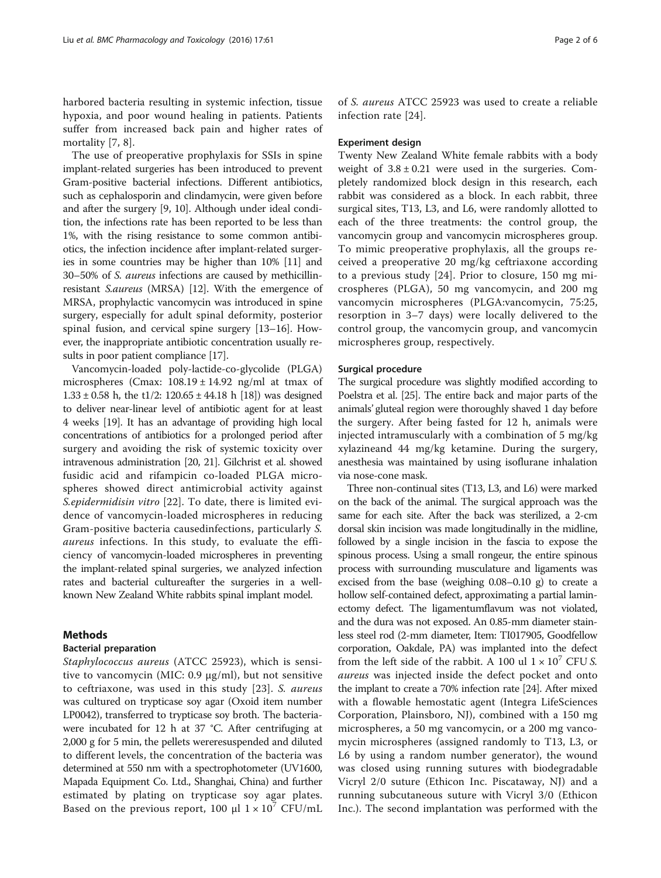harbored bacteria resulting in systemic infection, tissue hypoxia, and poor wound healing in patients. Patients suffer from increased back pain and higher rates of mortality [[7, 8](#page-5-0)].

The use of preoperative prophylaxis for SSIs in spine implant-related surgeries has been introduced to prevent Gram-positive bacterial infections. Different antibiotics, such as cephalosporin and clindamycin, were given before and after the surgery [\[9](#page-5-0), [10\]](#page-5-0). Although under ideal condition, the infections rate has been reported to be less than 1%, with the rising resistance to some common antibiotics, the infection incidence after implant-related surgeries in some countries may be higher than 10% [[11](#page-5-0)] and 30–50% of S. aureus infections are caused by methicillinresistant S.aureus (MRSA) [\[12](#page-5-0)]. With the emergence of MRSA, prophylactic vancomycin was introduced in spine surgery, especially for adult spinal deformity, posterior spinal fusion, and cervical spine surgery [\[13](#page-5-0)–[16](#page-5-0)]. However, the inappropriate antibiotic concentration usually results in poor patient compliance [\[17\]](#page-5-0).

Vancomycin-loaded poly-lactide-co-glycolide (PLGA) microspheres (Cmax:  $108.19 \pm 14.92$  ng/ml at tmax of  $1.33 \pm 0.58$  h, the t1/2:  $120.65 \pm 44.18$  h [[18\]](#page-5-0)) was designed to deliver near-linear level of antibiotic agent for at least 4 weeks [\[19](#page-5-0)]. It has an advantage of providing high local concentrations of antibiotics for a prolonged period after surgery and avoiding the risk of systemic toxicity over intravenous administration [\[20](#page-5-0), [21](#page-5-0)]. Gilchrist et al. showed fusidic acid and rifampicin co-loaded PLGA microspheres showed direct antimicrobial activity against S.epidermidisin vitro [\[22](#page-5-0)]. To date, there is limited evidence of vancomycin-loaded microspheres in reducing Gram-positive bacteria causedinfections, particularly S. aureus infections. In this study, to evaluate the efficiency of vancomycin-loaded microspheres in preventing the implant-related spinal surgeries, we analyzed infection rates and bacterial cultureafter the surgeries in a wellknown New Zealand White rabbits spinal implant model.

## Methods

## Bacterial preparation

Staphylococcus aureus (ATCC 25923), which is sensitive to vancomycin (MIC: 0.9 μg/ml), but not sensitive to ceftriaxone, was used in this study [\[23\]](#page-5-0). S. aureus was cultured on trypticase soy agar (Oxoid item number LP0042), transferred to trypticase soy broth. The bacteriawere incubated for 12 h at 37 °C. After centrifuging at 2,000 g for 5 min, the pellets wereresuspended and diluted to different levels, the concentration of the bacteria was determined at 550 nm with a spectrophotometer (UV1600, Mapada Equipment Co. Ltd., Shanghai, China) and further estimated by plating on trypticase soy agar plates. Based on the previous report, 100 μl  $1 \times 10^{7}$  CFU/mL

of S. aureus ATCC 25923 was used to create a reliable infection rate [[24](#page-5-0)].

### Experiment design

Twenty New Zealand White female rabbits with a body weight of  $3.8 \pm 0.21$  were used in the surgeries. Completely randomized block design in this research, each rabbit was considered as a block. In each rabbit, three surgical sites, T13, L3, and L6, were randomly allotted to each of the three treatments: the control group, the vancomycin group and vancomycin microspheres group. To mimic preoperative prophylaxis, all the groups received a preoperative 20 mg/kg ceftriaxone according to a previous study [[24\]](#page-5-0). Prior to closure, 150 mg microspheres (PLGA), 50 mg vancomycin, and 200 mg vancomycin microspheres (PLGA:vancomycin, 75:25, resorption in 3–7 days) were locally delivered to the control group, the vancomycin group, and vancomycin microspheres group, respectively.

## Surgical procedure

The surgical procedure was slightly modified according to Poelstra et al. [[25\]](#page-5-0). The entire back and major parts of the animals' gluteal region were thoroughly shaved 1 day before the surgery. After being fasted for 12 h, animals were injected intramuscularly with a combination of 5 mg/kg xylazineand 44 mg/kg ketamine. During the surgery, anesthesia was maintained by using isoflurane inhalation via nose-cone mask.

Three non-continual sites (T13, L3, and L6) were marked on the back of the animal. The surgical approach was the same for each site. After the back was sterilized, a 2-cm dorsal skin incision was made longitudinally in the midline, followed by a single incision in the fascia to expose the spinous process. Using a small rongeur, the entire spinous process with surrounding musculature and ligaments was excised from the base (weighing 0.08–0.10 g) to create a hollow self-contained defect, approximating a partial laminectomy defect. The ligamentumflavum was not violated, and the dura was not exposed. An 0.85-mm diameter stainless steel rod (2-mm diameter, Item: TI017905, Goodfellow corporation, Oakdale, PA) was implanted into the defect from the left side of the rabbit. A 100 ul  $1 \times 10^7$  CFU S. aureus was injected inside the defect pocket and onto the implant to create a 70% infection rate [\[24](#page-5-0)]. After mixed with a flowable hemostatic agent (Integra LifeSciences Corporation, Plainsboro, NJ), combined with a 150 mg microspheres, a 50 mg vancomycin, or a 200 mg vancomycin microspheres (assigned randomly to T13, L3, or L6 by using a random number generator), the wound was closed using running sutures with biodegradable Vicryl 2/0 suture (Ethicon Inc. Piscataway, NJ) and a running subcutaneous suture with Vicryl 3/0 (Ethicon Inc.). The second implantation was performed with the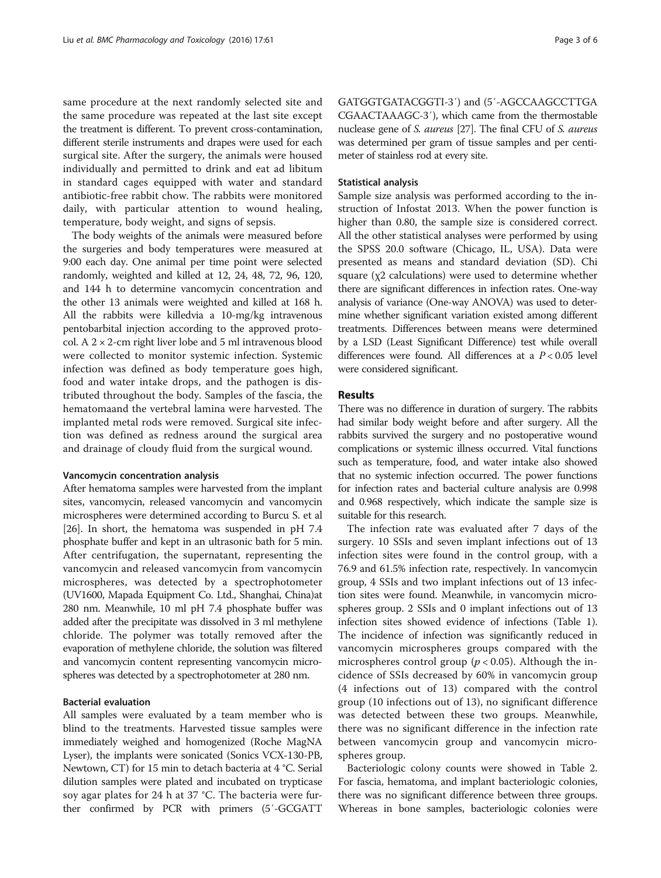same procedure at the next randomly selected site and the same procedure was repeated at the last site except the treatment is different. To prevent cross-contamination, different sterile instruments and drapes were used for each surgical site. After the surgery, the animals were housed individually and permitted to drink and eat ad libitum in standard cages equipped with water and standard antibiotic-free rabbit chow. The rabbits were monitored daily, with particular attention to wound healing, temperature, body weight, and signs of sepsis.

The body weights of the animals were measured before the surgeries and body temperatures were measured at 9:00 each day. One animal per time point were selected randomly, weighted and killed at 12, 24, 48, 72, 96, 120, and 144 h to determine vancomycin concentration and the other 13 animals were weighted and killed at 168 h. All the rabbits were killedvia a 10-mg/kg intravenous pentobarbital injection according to the approved protocol. A  $2 \times 2$ -cm right liver lobe and 5 ml intravenous blood were collected to monitor systemic infection. Systemic infection was defined as body temperature goes high, food and water intake drops, and the pathogen is distributed throughout the body. Samples of the fascia, the hematomaand the vertebral lamina were harvested. The implanted metal rods were removed. Surgical site infection was defined as redness around the surgical area and drainage of cloudy fluid from the surgical wound.

## Vancomycin concentration analysis

After hematoma samples were harvested from the implant sites, vancomycin, released vancomycin and vancomycin microspheres were determined according to Burcu S. et al [[26](#page-5-0)]. In short, the hematoma was suspended in pH 7.4 phosphate buffer and kept in an ultrasonic bath for 5 min. After centrifugation, the supernatant, representing the vancomycin and released vancomycin from vancomycin microspheres, was detected by a spectrophotometer (UV1600, Mapada Equipment Co. Ltd., Shanghai, China)at 280 nm. Meanwhile, 10 ml pH 7.4 phosphate buffer was added after the precipitate was dissolved in 3 ml methylene chloride. The polymer was totally removed after the evaporation of methylene chloride, the solution was filtered and vancomycin content representing vancomycin microspheres was detected by a spectrophotometer at 280 nm.

## Bacterial evaluation

All samples were evaluated by a team member who is blind to the treatments. Harvested tissue samples were immediately weighed and homogenized (Roche MagNA Lyser), the implants were sonicated (Sonics VCX-130-PB, Newtown, CT) for 15 min to detach bacteria at 4 °C. Serial dilution samples were plated and incubated on trypticase soy agar plates for 24 h at 37 °C. The bacteria were further confirmed by PCR with primers (5′-GCGATT

GATGGTGATACGGTI-3′) and (5′-AGCCAAGCCTTGA CGAACTAAAGC-3′), which came from the thermostable nuclease gene of S. aureus [[27](#page-5-0)]. The final CFU of S. aureus was determined per gram of tissue samples and per centimeter of stainless rod at every site.

## Statistical analysis

Sample size analysis was performed according to the instruction of Infostat 2013. When the power function is higher than 0.80, the sample size is considered correct. All the other statistical analyses were performed by using the SPSS 20.0 software (Chicago, IL, USA). Data were presented as means and standard deviation (SD). Chi square (χ2 calculations) were used to determine whether there are significant differences in infection rates. One-way analysis of variance (One-way ANOVA) was used to determine whether significant variation existed among different treatments. Differences between means were determined by a LSD (Least Significant Difference) test while overall differences were found. All differences at a P < 0.05 level were considered significant.

## Results

There was no difference in duration of surgery. The rabbits had similar body weight before and after surgery. All the rabbits survived the surgery and no postoperative wound complications or systemic illness occurred. Vital functions such as temperature, food, and water intake also showed that no systemic infection occurred. The power functions for infection rates and bacterial culture analysis are 0.998 and 0.968 respectively, which indicate the sample size is suitable for this research.

The infection rate was evaluated after 7 days of the surgery. 10 SSIs and seven implant infections out of 13 infection sites were found in the control group, with a 76.9 and 61.5% infection rate, respectively. In vancomycin group, 4 SSIs and two implant infections out of 13 infection sites were found. Meanwhile, in vancomycin microspheres group. 2 SSIs and 0 implant infections out of 13 infection sites showed evidence of infections (Table [1](#page-3-0)). The incidence of infection was significantly reduced in vancomycin microspheres groups compared with the microspheres control group ( $p < 0.05$ ). Although the incidence of SSIs decreased by 60% in vancomycin group (4 infections out of 13) compared with the control group (10 infections out of 13), no significant difference was detected between these two groups. Meanwhile, there was no significant difference in the infection rate between vancomycin group and vancomycin microspheres group.

Bacteriologic colony counts were showed in Table [2](#page-3-0). For fascia, hematoma, and implant bacteriologic colonies, there was no significant difference between three groups. Whereas in bone samples, bacteriologic colonies were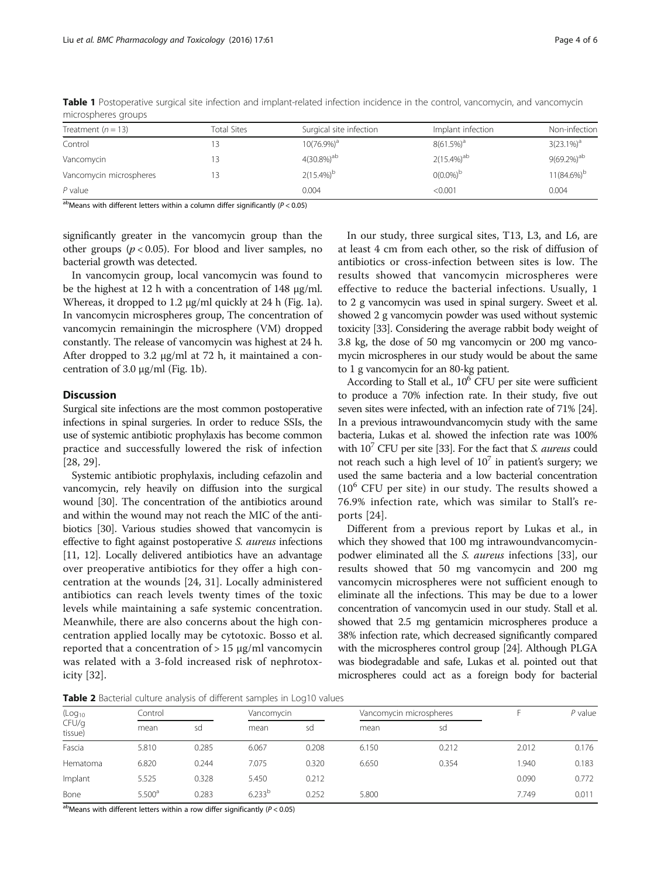| Treatment $(n = 13)$    | Total Sites | Surgical site infection | Implant infection | Non-infection<br>$3(23.1\%)^a$ |  |  |  |  |  |
|-------------------------|-------------|-------------------------|-------------------|--------------------------------|--|--|--|--|--|
| Control                 |             | $10(76.9\%)^a$          | $8(61.5\%)^a$     |                                |  |  |  |  |  |
| Vancomycin              |             | $4(30.8\%)^{ab}$        | $2(15.4\%)^{ab}$  | $9(69.2\%)^{ab}$               |  |  |  |  |  |
| Vancomycin microspheres |             | $2(15.4\%)^b$           | $0(0.0\%)^b$      | $11(84.6\%)^b$                 |  |  |  |  |  |
| $P$ value               |             | 0.004                   | < 0.001           | 0.004                          |  |  |  |  |  |

<span id="page-3-0"></span>Table 1 Postoperative surgical site infection and implant-related infection incidence in the control, vancomycin, and vancomycin microspheres groups

 $a<sup>b</sup>$ Means with different letters within a column differ significantly ( $P < 0.05$ )

significantly greater in the vancomycin group than the other groups ( $p < 0.05$ ). For blood and liver samples, no bacterial growth was detected.

In vancomycin group, local vancomycin was found to be the highest at 12 h with a concentration of 148 μg/ml. Whereas, it dropped to 1.2 μg/ml quickly at 24 h (Fig. [1a](#page-4-0)). In vancomycin microspheres group, The concentration of vancomycin remainingin the microsphere (VM) dropped constantly. The release of vancomycin was highest at 24 h. After dropped to 3.2 μg/ml at 72 h, it maintained a concentration of 3.0 μg/ml (Fig. [1b](#page-4-0)).

## **Discussion**

Surgical site infections are the most common postoperative infections in spinal surgeries. In order to reduce SSIs, the use of systemic antibiotic prophylaxis has become common practice and successfully lowered the risk of infection [[28, 29](#page-5-0)].

Systemic antibiotic prophylaxis, including cefazolin and vancomycin, rely heavily on diffusion into the surgical wound [\[30\]](#page-5-0). The concentration of the antibiotics around and within the wound may not reach the MIC of the antibiotics [\[30](#page-5-0)]. Various studies showed that vancomycin is effective to fight against postoperative S. aureus infections [[11](#page-5-0), [12\]](#page-5-0). Locally delivered antibiotics have an advantage over preoperative antibiotics for they offer a high concentration at the wounds [\[24](#page-5-0), [31\]](#page-5-0). Locally administered antibiotics can reach levels twenty times of the toxic levels while maintaining a safe systemic concentration. Meanwhile, there are also concerns about the high concentration applied locally may be cytotoxic. Bosso et al. reported that a concentration of  $> 15 \mu g/ml$  vancomycin was related with a 3-fold increased risk of nephrotoxicity [[32](#page-5-0)].

In our study, three surgical sites, T13, L3, and L6, are at least 4 cm from each other, so the risk of diffusion of antibiotics or cross-infection between sites is low. The results showed that vancomycin microspheres were effective to reduce the bacterial infections. Usually, 1 to 2 g vancomycin was used in spinal surgery. Sweet et al. showed 2 g vancomycin powder was used without systemic toxicity [\[33\]](#page-5-0). Considering the average rabbit body weight of 3.8 kg, the dose of 50 mg vancomycin or 200 mg vancomycin microspheres in our study would be about the same to 1 g vancomycin for an 80-kg patient.

According to Stall et al.,  $10^6$  CFU per site were sufficient to produce a 70% infection rate. In their study, five out seven sites were infected, with an infection rate of 71% [\[24](#page-5-0)]. In a previous intrawoundvancomycin study with the same bacteria, Lukas et al. showed the infection rate was 100% with  $10^7$  CFU per site [[33](#page-5-0)]. For the fact that S. *aureus* could not reach such a high level of  $10<sup>7</sup>$  in patient's surgery; we used the same bacteria and a low bacterial concentration  $(10^6$  CFU per site) in our study. The results showed a 76.9% infection rate, which was similar to Stall's reports [[24](#page-5-0)].

Different from a previous report by Lukas et al., in which they showed that 100 mg intrawoundvancomycinpodwer eliminated all the S. aureus infections [\[33](#page-5-0)], our results showed that 50 mg vancomycin and 200 mg vancomycin microspheres were not sufficient enough to eliminate all the infections. This may be due to a lower concentration of vancomycin used in our study. Stall et al. showed that 2.5 mg gentamicin microspheres produce a 38% infection rate, which decreased significantly compared with the microspheres control group [\[24\]](#page-5-0). Although PLGA was biodegradable and safe, Lukas et al. pointed out that microspheres could act as a foreign body for bacterial

Table 2 Bacterial culture analysis of different samples in Log10 values

| (Log <sub>10</sub> )<br>CFU/g<br>tissue) | Control            |       |                    | Vancomycin |       | Vancomycin microspheres |       | $P$ value |
|------------------------------------------|--------------------|-------|--------------------|------------|-------|-------------------------|-------|-----------|
|                                          | mean               | sd    | mean               | sd         | mean  | sd                      |       |           |
| Fascia                                   | 5.810              | 0.285 | 6.067              | 0.208      | 6.150 | 0.212                   | 2.012 | 0.176     |
| Hematoma                                 | 6.820              | 0.244 | 7.075              | 0.320      | 6.650 | 0.354                   | 940.  | 0.183     |
| Implant                                  | 5.525              | 0.328 | 5.450              | 0.212      |       |                         | 0.090 | 0.772     |
| Bone                                     | 5.500 <sup>a</sup> | 0.283 | 6.233 <sup>b</sup> | 0.252      | 5.800 |                         | 7.749 | 0.011     |

 $a<sup>b</sup>$ Means with different letters within a row differ significantly ( $P < 0.05$ )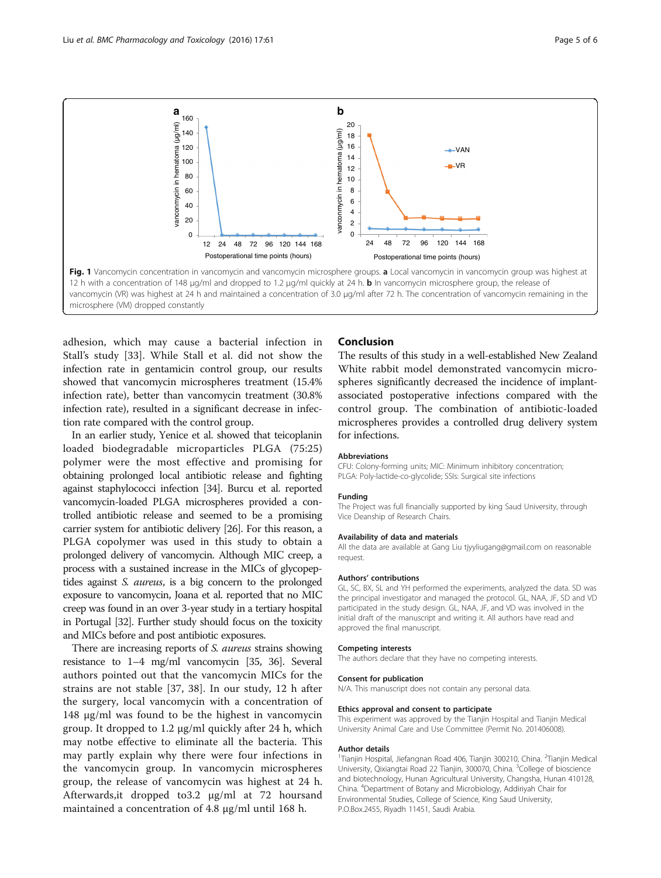<span id="page-4-0"></span>

adhesion, which may cause a bacterial infection in Stall's study [\[33](#page-5-0)]. While Stall et al. did not show the infection rate in gentamicin control group, our results showed that vancomycin microspheres treatment (15.4% infection rate), better than vancomycin treatment (30.8% infection rate), resulted in a significant decrease in infection rate compared with the control group.

In an earlier study, Yenice et al. showed that teicoplanin loaded biodegradable microparticles PLGA (75:25) polymer were the most effective and promising for obtaining prolonged local antibiotic release and fighting against staphylococci infection [\[34\]](#page-5-0). Burcu et al. reported vancomycin-loaded PLGA microspheres provided a controlled antibiotic release and seemed to be a promising carrier system for antibiotic delivery [[26](#page-5-0)]. For this reason, a PLGA copolymer was used in this study to obtain a prolonged delivery of vancomycin. Although MIC creep, a process with a sustained increase in the MICs of glycopeptides against S. aureus, is a big concern to the prolonged exposure to vancomycin, Joana et al. reported that no MIC creep was found in an over 3-year study in a tertiary hospital in Portugal [\[32\]](#page-5-0). Further study should focus on the toxicity and MICs before and post antibiotic exposures.

There are increasing reports of S. *aureus* strains showing resistance to 1–4 mg/ml vancomycin [[35, 36\]](#page-5-0). Several authors pointed out that the vancomycin MICs for the strains are not stable [[37, 38\]](#page-5-0). In our study, 12 h after the surgery, local vancomycin with a concentration of 148 μg/ml was found to be the highest in vancomycin group. It dropped to 1.2 μg/ml quickly after 24 h, which may notbe effective to eliminate all the bacteria. This may partly explain why there were four infections in the vancomycin group. In vancomycin microspheres group, the release of vancomycin was highest at 24 h. Afterwards,it dropped to3.2 μg/ml at 72 hoursand maintained a concentration of 4.8 μg/ml until 168 h.

## Conclusion

The results of this study in a well-established New Zealand White rabbit model demonstrated vancomycin microspheres significantly decreased the incidence of implantassociated postoperative infections compared with the control group. The combination of antibiotic-loaded microspheres provides a controlled drug delivery system for infections.

## Abbreviations

CFU: Colony-forming units; MIC: Minimum inhibitory concentration; PLGA: Poly-lactide-co-glycolide; SSIs: Surgical site infections

#### Funding

The Project was full financially supported by king Saud University, through Vice Deanship of Research Chairs.

#### Availability of data and materials

All the data are available at Gang Liu tjyyliugang@gmail.com on reasonable request.

#### Authors' contributions

GL, SC, BX, SL and YH performed the experiments, analyzed the data. SD was the principal investigator and managed the protocol. GL, NAA, JF, SD and VD participated in the study design. GL, NAA, JF, and VD was involved in the initial draft of the manuscript and writing it. All authors have read and approved the final manuscript.

#### Competing interests

The authors declare that they have no competing interests.

#### Consent for publication

N/A. This manuscript does not contain any personal data.

#### Ethics approval and consent to participate

This experiment was approved by the Tianjin Hospital and Tianjin Medical University Animal Care and Use Committee (Permit No. 201406008).

#### Author details

<sup>1</sup>Tianjin Hospital, Jiefangnan Road 406, Tianjin 300210, China. <sup>2</sup>Tianjin Medical University, Qixiangtai Road 22 Tianjin, 300070, China. <sup>3</sup>College of bioscience and biotechnology, Hunan Agricultural University, Changsha, Hunan 410128, China. <sup>4</sup> Department of Botany and Microbiology, Addiriyah Chair for Environmental Studies, College of Science, King Saud University, P.O.Box.2455, Riyadh 11451, Saudi Arabia.